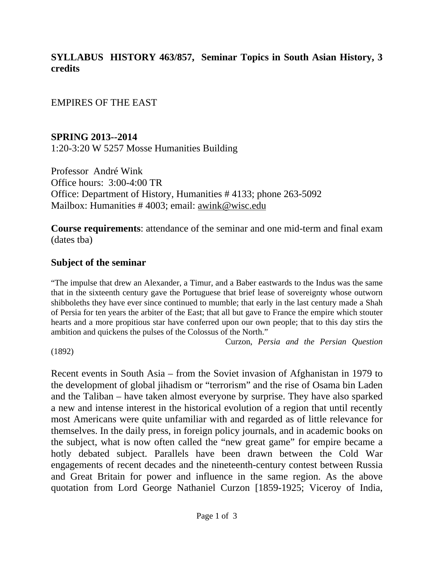## **SYLLABUS HISTORY 463/857, Seminar Topics in South Asian History, 3 credits**

EMPIRES OF THE EAST

### **SPRING 2013--2014**

1:20-3:20 W 5257 Mosse Humanities Building

Professor André Wink Office hours: 3:00-4:00 TR Office: Department of History, Humanities # 4133; phone 263-5092 Mailbox: Humanities # 4003; email: awink@wisc.edu

**Course requirements**: attendance of the seminar and one mid-term and final exam (dates tba)

#### **Subject of the seminar**

"The impulse that drew an Alexander, a Timur, and a Baber eastwards to the Indus was the same that in the sixteenth century gave the Portuguese that brief lease of sovereignty whose outworn shibboleths they have ever since continued to mumble; that early in the last century made a Shah of Persia for ten years the arbiter of the East; that all but gave to France the empire which stouter hearts and a more propitious star have conferred upon our own people; that to this day stirs the ambition and quickens the pulses of the Colossus of the North."

Curzon, *Persia and the Persian Question* 

(1892)

Recent events in South Asia – from the Soviet invasion of Afghanistan in 1979 to the development of global jihadism or "terrorism" and the rise of Osama bin Laden and the Taliban – have taken almost everyone by surprise. They have also sparked a new and intense interest in the historical evolution of a region that until recently most Americans were quite unfamiliar with and regarded as of little relevance for themselves. In the daily press, in foreign policy journals, and in academic books on the subject, what is now often called the "new great game" for empire became a hotly debated subject. Parallels have been drawn between the Cold War engagements of recent decades and the nineteenth-century contest between Russia and Great Britain for power and influence in the same region. As the above quotation from Lord George Nathaniel Curzon [1859-1925; Viceroy of India,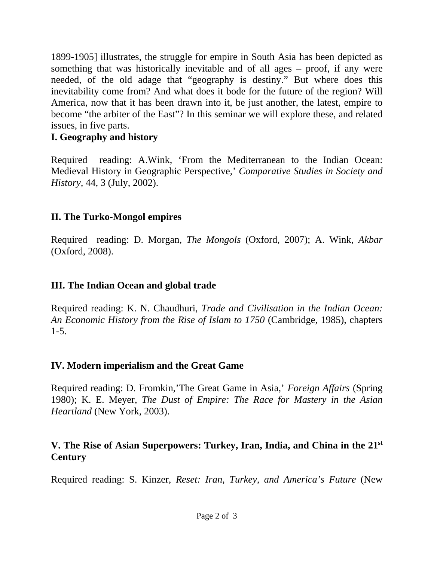1899-1905] illustrates, the struggle for empire in South Asia has been depicted as something that was historically inevitable and of all ages – proof, if any were needed, of the old adage that "geography is destiny." But where does this inevitability come from? And what does it bode for the future of the region? Will America, now that it has been drawn into it, be just another, the latest, empire to become "the arbiter of the East"? In this seminar we will explore these, and related issues, in five parts.

## **I. Geography and history**

Required reading: A.Wink, 'From the Mediterranean to the Indian Ocean: Medieval History in Geographic Perspective,' *Comparative Studies in Society and History,* 44, 3 (July, 2002).

## **II. The Turko-Mongol empires**

Required reading: D. Morgan, *The Mongols* (Oxford, 2007); A. Wink, *Akbar* (Oxford, 2008).

# **III. The Indian Ocean and global trade**

Required reading: K. N. Chaudhuri, *Trade and Civilisation in the Indian Ocean: An Economic History from the Rise of Islam to 1750* (Cambridge, 1985), chapters 1-5.

### **IV. Modern imperialism and the Great Game**

Required reading: D. Fromkin,'The Great Game in Asia,' *Foreign Affairs* (Spring 1980); K. E. Meyer, *The Dust of Empire: The Race for Mastery in the Asian Heartland* (New York, 2003).

### **V. The Rise of Asian Superpowers: Turkey, Iran, India, and China in the 21st Century**

Required reading: S. Kinzer, *Reset: Iran, Turkey, and America's Future* (New